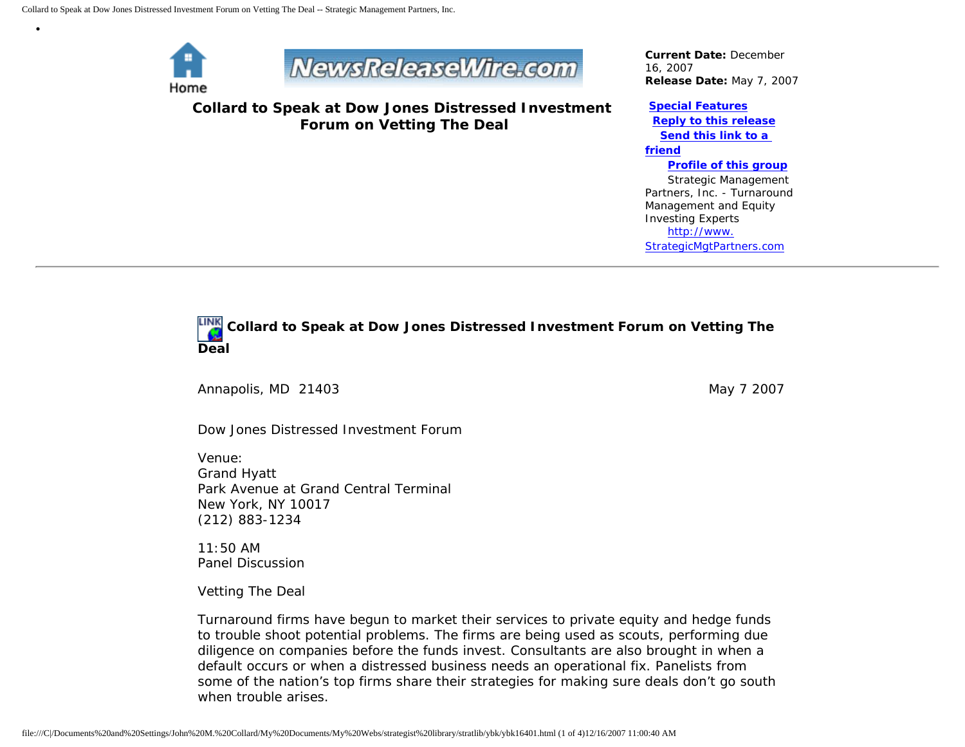

•



**Collard to Speak at Dow Jones Distressed Investment Forum on Vetting The Deal**

*Current Date:* December 16, 2007 *Release Date:* May 7, 2007

## **[Special Features](javascript:openlittleme()**

 **[Reply to this release](file:///C|/Documents%20and%20Settings/John%20M.%20Collard/My%20Documents/My%20Webs/strategist%20library/stratlib/ybk/default.cfm?Action=ReplyRelease&Id=16401) [Send this link to a](file:///C|/Documents%20and%20Settings/John%20M.%20Collard/My%20Documents/My%20Webs/strategist%20library/stratlib/ybk/default.cfm?Action=SendLink&SendId=16401)  [friend](file:///C|/Documents%20and%20Settings/John%20M.%20Collard/My%20Documents/My%20Webs/strategist%20library/stratlib/ybk/default.cfm?Action=SendLink&SendId=16401) [Profile of this group](file:///C|/Documents%20and%20Settings/John%20M.%20Collard/My%20Documents/My%20Webs/strategist%20library/stratlib/ybk/default.cfm?Action=Profile&ProfileId=623)** Strategic Management Partners, Inc. - Turnaround Management and Equity

Investing Experts [http://www.](http://www.strategicmgtpartners.com/) [StrategicMgtPartners.com](http://www.strategicmgtpartners.com/)



Annapolis, MD 21403 May 7 2007

Dow Jones Distressed Investment Forum

Venue: Grand Hyatt Park Avenue at Grand Central Terminal New York, NY 10017 (212) 883-1234

11:50 AM Panel Discussion

Vetting The Deal

Turnaround firms have begun to market their services to private equity and hedge funds to trouble shoot potential problems. The firms are being used as scouts, performing due diligence on companies before the funds invest. Consultants are also brought in when a default occurs or when a distressed business needs an operational fix. Panelists from some of the nation's top firms share their strategies for making sure deals don't go south when trouble arises.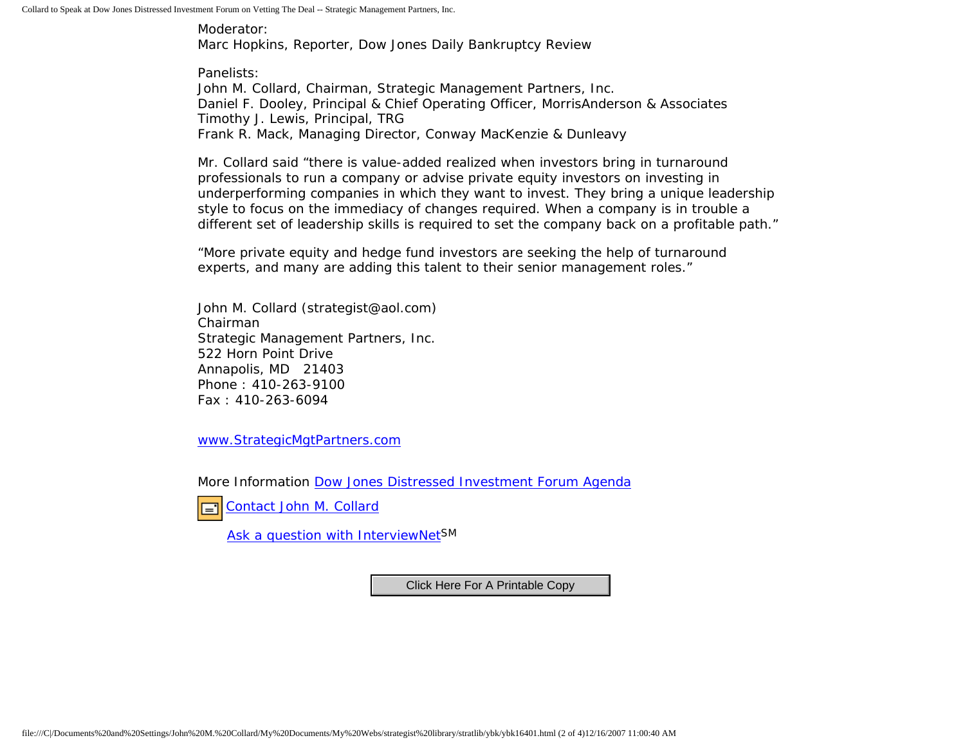Collard to Speak at Dow Jones Distressed Investment Forum on Vetting The Deal -- Strategic Management Partners, Inc.

Moderator: Marc Hopkins, Reporter, Dow Jones Daily Bankruptcy Review

Panelists: John M. Collard, Chairman, Strategic Management Partners, Inc. Daniel F. Dooley, Principal & Chief Operating Officer, MorrisAnderson & Associates Timothy J. Lewis, Principal, TRG Frank R. Mack, Managing Director, Conway MacKenzie & Dunleavy

Mr. Collard said "there is value-added realized when investors bring in turnaround professionals to run a company or advise private equity investors on investing in underperforming companies in which they want to invest. They bring a unique leadership style to focus on the immediacy of changes required. When a company is in trouble a different set of leadership skills is required to set the company back on a profitable path."

"More private equity and hedge fund investors are seeking the help of turnaround experts, and many are adding this talent to their senior management roles."

John M. Collard (strategist@aol.com) Chairman Strategic Management Partners, Inc. 522 Horn Point Drive Annapolis, MD 21403 Phone : 410-263-9100 Fax : 410-263-6094

[www.StrategicMgtPartners.com](http://www.strategicmgtpartners.com/)

More Information [Dow Jones Distressed Investment Forum Agenda](http://distressedinvestmentforum.dowjones.com/Default.aspx?pageid=403)



Ask a question with InterviewNet<sup>SM</sup>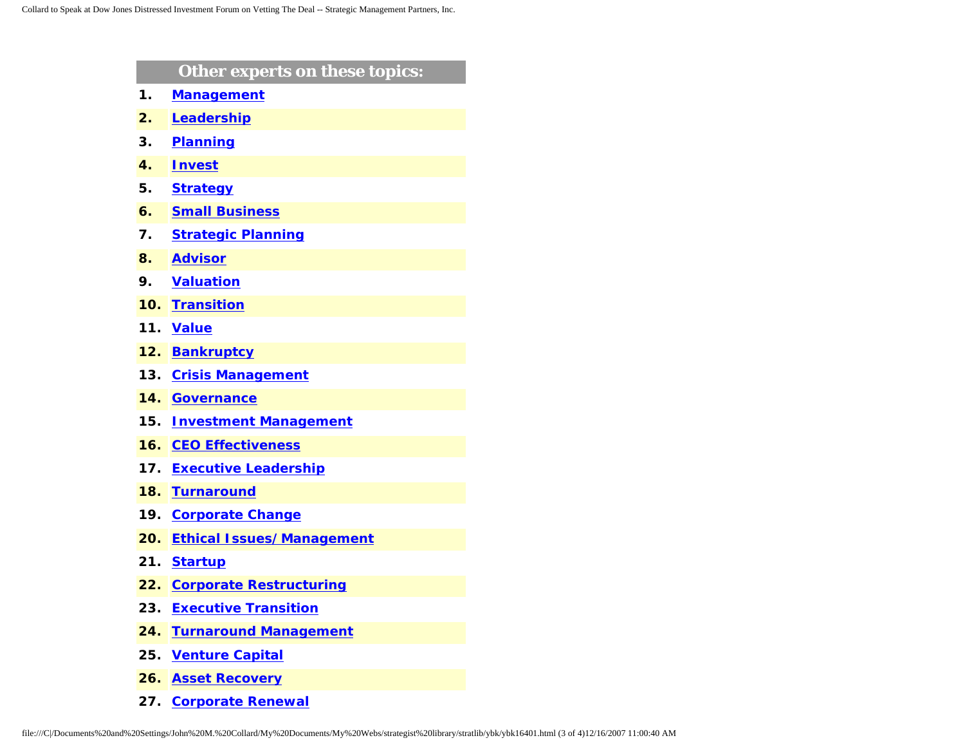|     | Other experts on these topics:   |
|-----|----------------------------------|
| 1.  | <b>Management</b>                |
| 2.  | Leadership                       |
| 3.  | <b>Planning</b>                  |
| 4.  | <b>Invest</b>                    |
| 5.  | <b>Strategy</b>                  |
| 6.  | <b>Small Business</b>            |
| 7.  | <b>Strategic Planning</b>        |
| 8.  | <b>Advisor</b>                   |
| 9.  | <b>Valuation</b>                 |
| 10. | <b>Transition</b>                |
| 11. | <b>Value</b>                     |
| 12. | <b>Bankruptcy</b>                |
| 13. | <b>Crisis Management</b>         |
| 14. | <b>Governance</b>                |
| 15. | <b>Investment Management</b>     |
| 16. | <b>CEO Effectiveness</b>         |
| 17. | <b>Executive Leadership</b>      |
| 18. | <b>Turnaround</b>                |
| 19. | <b>Corporate Change</b>          |
| 20. | <b>Ethical Issues/Management</b> |
| 21. | <b>Startup</b>                   |
| 22. | <b>Corporate Restructuring</b>   |
| 23. | <b>Executive Transition</b>      |
| 24. | <b>Turnaround Management</b>     |
| 25. | <b>Venture Capital</b>           |
| 26. | <b>Asset Recovery</b>            |
|     |                                  |

**27. [Corporate Renewal](http://www.expertclick.com/search/default.cfm?SearchCriteria=Corporate Renewal)**